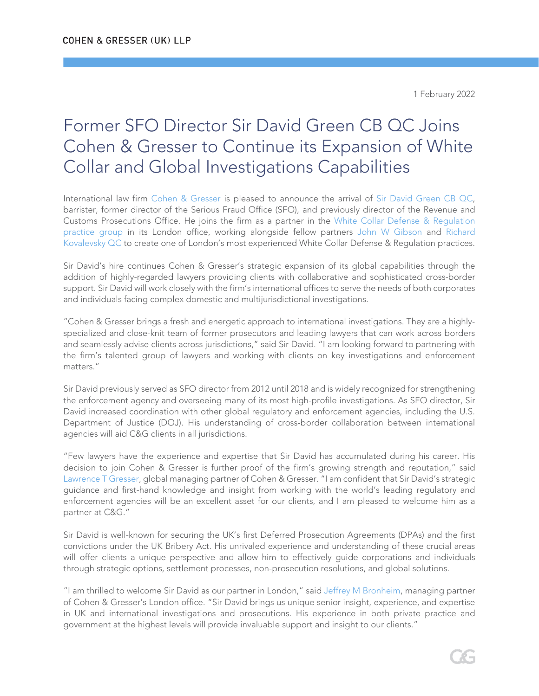1 February 2022

## Former SFO Director Sir David Green CB QC Joins Cohen & Gresser to Continue its Expansion of White Collar and Global Investigations Capabilities

International law firm [Cohen & Gresser](https://www.cohengresser.com/) is pleased to announce the arrival of [Sir David Green CB QC,](https://www.cohengresser.com/attorney/sir-david-green-cb-qc/) barrister, former director of the Serious Fraud Office (SFO), and previously director of the Revenue and Customs Prosecutions Office. He joins the firm as a partner in the [White Collar Defense & Regulation](https://www.cohengresser.com/practice_area/white-collar-defense/)  [practice group](https://www.cohengresser.com/practice_area/white-collar-defense/) in its London office, working alongside fellow partners [John W Gibson](https://www.cohengresser.com/attorney/john-w-gibson/) and [Richard](https://www.cohengresser.com/attorney/richard-kovalevsky-qc/)  [Kovalevsky](https://www.cohengresser.com/attorney/richard-kovalevsky-qc/) QC to create one of London's most experienced White Collar Defense & Regulation practices.

Sir David's hire continues Cohen & Gresser's strategic expansion of its global capabilities through the addition of highly-regarded lawyers providing clients with collaborative and sophisticated cross-border support. Sir David will work closely with the firm's international offices to serve the needs of both corporates and individuals facing complex domestic and multijurisdictional investigations.

"Cohen & Gresser brings a fresh and energetic approach to international investigations. They are a highlyspecialized and close-knit team of former prosecutors and leading lawyers that can work across borders and seamlessly advise clients across jurisdictions," said Sir David. "I am looking forward to partnering with the firm's talented group of lawyers and working with clients on key investigations and enforcement matters."

Sir David previously served as SFO director from 2012 until 2018 and is widely recognized for strengthening the enforcement agency and overseeing many of its most high-profile investigations. As SFO director, Sir David increased coordination with other global regulatory and enforcement agencies, including the U.S. Department of Justice (DOJ). His understanding of cross-border collaboration between international agencies will aid C&G clients in all jurisdictions.

"Few lawyers have the experience and expertise that Sir David has accumulated during his career. His decision to join Cohen & Gresser is further proof of the firm's growing strength and reputation," said [Lawrence T Gresser,](https://www.cohengresser.com/attorney/lawrence-t-gresser/) global managing partner of Cohen & Gresser. "I am confident that Sir David's strategic guidance and first-hand knowledge and insight from working with the world's leading regulatory and enforcement agencies will be an excellent asset for our clients, and I am pleased to welcome him as a partner at C&G."

Sir David is well-known for securing the UK's first Deferred Prosecution Agreements (DPAs) and the first convictions under the UK Bribery Act. His unrivaled experience and understanding of these crucial areas will offer clients a unique perspective and allow him to effectively guide corporations and individuals through strategic options, settlement processes, non-prosecution resolutions, and global solutions.

"I am thrilled to welcome Sir David as our partner in London," said [Jeffrey M Bronheim,](https://www.cohengresser.com/attorney/jeffrey-m-bronheim/) managing partner of Cohen & Gresser's London office. "Sir David brings us unique senior insight, experience, and expertise in UK and international investigations and prosecutions. His experience in both private practice and government at the highest levels will provide invaluable support and insight to our clients."